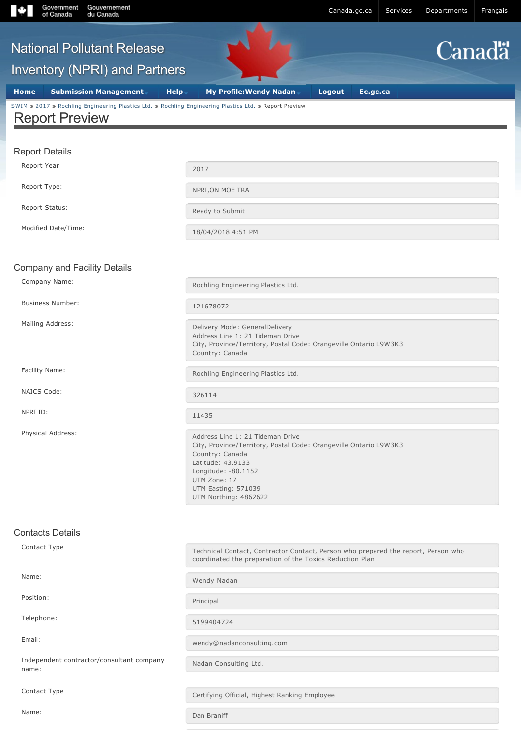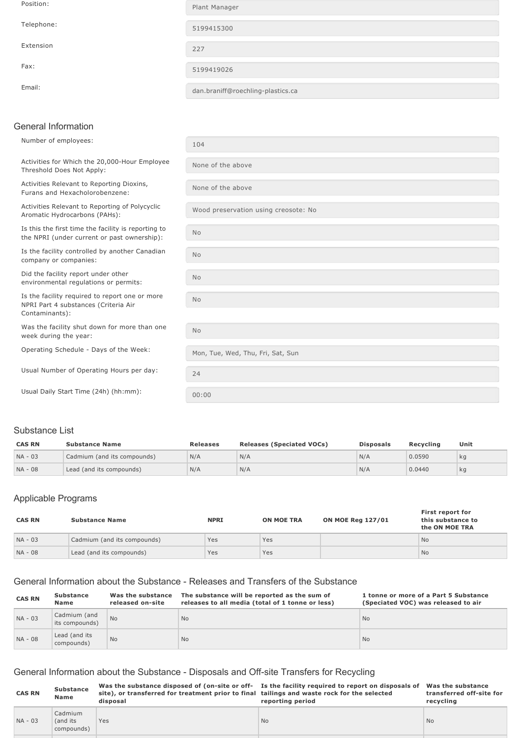| Position:  | Plant Manager                     |
|------------|-----------------------------------|
| Telephone: | 5199415300                        |
| Extension  | 227                               |
| Fax:       | 5199419026                        |
| Email:     | dan.braniff@roechling-plastics.ca |

### General Information

| Number of employees:                                                                                     | 104                                  |
|----------------------------------------------------------------------------------------------------------|--------------------------------------|
| Activities for Which the 20,000-Hour Employee<br>Threshold Does Not Apply:                               | None of the above                    |
| Activities Relevant to Reporting Dioxins,<br>Furans and Hexacholorobenzene:                              | None of the above                    |
| Activities Relevant to Reporting of Polycyclic<br>Aromatic Hydrocarbons (PAHs):                          | Wood preservation using creosote: No |
| Is this the first time the facility is reporting to<br>the NPRI (under current or past ownership):       | <b>No</b>                            |
| Is the facility controlled by another Canadian<br>company or companies:                                  | No                                   |
| Did the facility report under other<br>environmental regulations or permits:                             | No                                   |
| Is the facility required to report one or more<br>NPRI Part 4 substances (Criteria Air<br>Contaminants): | N <sub>o</sub>                       |
| Was the facility shut down for more than one<br>week during the year:                                    | <b>No</b>                            |
| Operating Schedule - Days of the Week:                                                                   | Mon, Tue, Wed, Thu, Fri, Sat, Sun    |
| Usual Number of Operating Hours per day:                                                                 | 24                                   |
| Usual Daily Start Time (24h) (hh:mm):                                                                    | 00:00                                |

# Substance List

| <b>CAS RN</b> | <b>Substance Name</b>       | <b>Releases</b> | <b>Releases (Speciated VOCs)</b> | <b>Disposals</b> | Recvcling | Unit |
|---------------|-----------------------------|-----------------|----------------------------------|------------------|-----------|------|
| $NA - 03$     | Cadmium (and its compounds) | N/A             | N/A                              | N/A              | 0.0590    | kg   |
| NA - 08       | Lead (and its compounds)    | N/A             | N/A                              | N/A              | 0.0440    | kg   |

# Applicable Programs

| <b>CAS RN</b> | <b>Substance Name</b>       | <b>NPRI</b> | <b>ON MOE TRA</b> | <b>ON MOE Reg 127/01</b> | First report for<br>this substance to<br>the ON MOE TRA |
|---------------|-----------------------------|-------------|-------------------|--------------------------|---------------------------------------------------------|
| $NA - 03$     | Cadmium (and its compounds) | Yes         | Yes               |                          | <b>No</b>                                               |
| NA - 08       | Lead (and its compounds)    | Yes         | Yes               |                          | <b>No</b>                                               |

# General Information about the Substance Releases and Transfers of the Substance

| <b>CAS RN</b> | <b>Substance</b><br><b>Name</b> | Was the substance<br>released on-site | The substance will be reported as the sum of<br>releases to all media (total of 1 tonne or less) | 1 tonne or more of a Part 5 Substance<br>(Speciated VOC) was released to air |
|---------------|---------------------------------|---------------------------------------|--------------------------------------------------------------------------------------------------|------------------------------------------------------------------------------|
| $NA - 03$     | Cadmium (and<br>its compounds)  | <b>No</b>                             | <b>No</b>                                                                                        | <b>No</b>                                                                    |
| NA - 08       | Lead (and its<br>compounds)     | <b>No</b>                             | <b>No</b>                                                                                        | <b>No</b>                                                                    |

# General Information about the Substance - Disposals and Off-site Transfers for Recycling

| <b>CAS RN</b> | <b>Substance</b><br><b>Name</b>   | site), or transferred for treatment prior to final tailings and waste rock for the selected<br>disposal | Was the substance disposed of (on-site or off- Is the facility required to report on disposals of<br>reporting period | Was the substance<br>transferred off-site for<br>recvcling |
|---------------|-----------------------------------|---------------------------------------------------------------------------------------------------------|-----------------------------------------------------------------------------------------------------------------------|------------------------------------------------------------|
| NA - 03       | Cadmium<br>(and its<br>compounds) | Yes                                                                                                     | <b>No</b>                                                                                                             | <b>No</b>                                                  |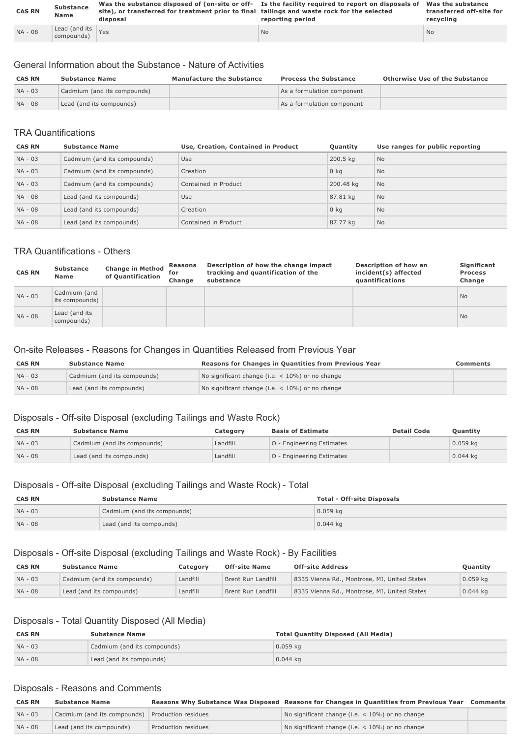| <b>CAS RN</b> | <b>Substance</b>                   | site), or transferred for treatment prior to final tailings and waste rock for the selected | Was the substance disposed of (on-site or off- Is the facility required to report on disposals of Was the substance | transferred off-site for |
|---------------|------------------------------------|---------------------------------------------------------------------------------------------|---------------------------------------------------------------------------------------------------------------------|--------------------------|
|               | Name                               | disposal                                                                                    | reporting period                                                                                                    | recycling                |
| NA - 08       | Lead (and its $Y$ es<br>compounds) |                                                                                             | <b>No</b>                                                                                                           | <b>No</b>                |

## General Information about the Substance Nature of Activities

| <b>CAS RN</b> | <b>Substance Name</b>       | <b>Manufacture the Substance</b> | <b>Process the Substance</b> | <b>Otherwise Use of the Substance</b> |
|---------------|-----------------------------|----------------------------------|------------------------------|---------------------------------------|
| $NA - 03$     | Cadmium (and its compounds) |                                  | As a formulation component   |                                       |
| NA - 08       | Lead (and its compounds)    |                                  | As a formulation component   |                                       |

### TRA Quantifications

| <b>CAS RN</b> | <b>Substance Name</b>       | Use, Creation, Contained in Product | Quantity  | Use ranges for public reporting |
|---------------|-----------------------------|-------------------------------------|-----------|---------------------------------|
| $NA - 03$     | Cadmium (and its compounds) | Use                                 | 200.5 kg  | No                              |
| $NA - 03$     | Cadmium (and its compounds) | Creation                            | $0$ kg    | <b>No</b>                       |
| $NA - 03$     | Cadmium (and its compounds) | Contained in Product                | 200.48 kg | <b>No</b>                       |
| NA - 08       | Lead (and its compounds)    | Use                                 | 87.81 kg  | <b>No</b>                       |
| NA - 08       | Lead (and its compounds)    | Creation                            | $0$ kg    | N <sub>o</sub>                  |
| NA - 08       | Lead (and its compounds)    | Contained in Product                | 87.77 kg  | <b>No</b>                       |

#### TRA Quantifications - Others

| <b>CAS RN</b> | <b>Substance</b><br>Name       | <b>Change in Method</b><br>of Quantification | <b>Reasons</b><br>for<br>Change | Description of how the change impact<br>tracking and quantification of the<br>substance | Description of how an<br>incident(s) affected<br>quantifications | Significant<br><b>Process</b><br>Change |
|---------------|--------------------------------|----------------------------------------------|---------------------------------|-----------------------------------------------------------------------------------------|------------------------------------------------------------------|-----------------------------------------|
| NA - 03       | Cadmium (and<br>its compounds) |                                              |                                 |                                                                                         |                                                                  | <b>No</b>                               |
| NA - 08       | Lead (and its<br>compounds)    |                                              |                                 |                                                                                         |                                                                  | <b>No</b>                               |

#### On-site Releases - Reasons for Changes in Quantities Released from Previous Year

| <b>CAS RN</b> | <b>Substance Name</b>       | Reasons for Changes in Quantities from Previous Year | Comments |
|---------------|-----------------------------|------------------------------------------------------|----------|
| $NA - 03$     | Cadmium (and its compounds) | No significant change (i.e. $<$ 10%) or no change    |          |
| NA - 08       | Lead (and its compounds)    | No significant change (i.e. $<$ 10%) or no change    |          |

## Disposals - Off-site Disposal (excluding Tailings and Waste Rock)

| <b>CAS RN</b> | <b>Substance Name</b>       | Category | <b>Basis of Estimate</b>         | <b>Detail Code</b> | <b>Ouantity</b> |
|---------------|-----------------------------|----------|----------------------------------|--------------------|-----------------|
| $NA - 03$     | Cadmium (and its compounds) | Landfill | <b>O</b> - Engineering Estimates |                    | $0.059$ kg      |
| NA - 08       | Lead (and its compounds)    | Landfill | <b>O</b> - Engineering Estimates |                    | $0.044$ kg      |

#### Disposals - Off-site Disposal (excluding Tailings and Waste Rock) - Total

| <b>CAS RN</b> | <b>Substance Name</b>       | <b>Total - Off-site Disposals</b> |
|---------------|-----------------------------|-----------------------------------|
| $NA - 03$     | Cadmium (and its compounds) | $0.059$ kg                        |
| $NA - 08$     | Lead (and its compounds)    | $0.044$ kg                        |

### Disposals - Off-site Disposal (excluding Tailings and Waste Rock) - By Facilities

| <b>CAS RN</b> | <b>Substance Name</b>       | Category | <b>Off-site Name</b> | <b>Off-site Address</b>                      | Quantity   |
|---------------|-----------------------------|----------|----------------------|----------------------------------------------|------------|
| $NA - 03$     | Cadmium (and its compounds) | Landfill | Brent Run Landfill   | 8335 Vienna Rd., Montrose, MI, United States | $0.059$ kg |
| $NA - 08$     | Lead (and its compounds)    | Landfill | Brent Run Landfill   | 8335 Vienna Rd., Montrose, MI, United States | $0.044$ kg |

## Disposals - Total Quantity Disposed (All Media)

| <b>CAS RN</b> | <b>Substance Name</b>       | <b>Total Quantity Disposed (All Media)</b> |
|---------------|-----------------------------|--------------------------------------------|
| $NA - 03$     | Cadmium (and its compounds) | $0.059$ kg                                 |
| $NA - 08$     | Lead (and its compounds)    | $0.044$ kg                                 |

#### Disposals - Reasons and Comments

| <b>CAS RN</b> | <b>Substance Name</b>                           |                     | Reasons Why Substance Was Disposed Reasons for Changes in Quantities from Previous Year Comments |  |
|---------------|-------------------------------------------------|---------------------|--------------------------------------------------------------------------------------------------|--|
| $NA - 03$     | Cadmium (and its compounds) Production residues |                     | No significant change (i.e. $<$ 10%) or no change                                                |  |
| NA - 08       | Lead (and its compounds)                        | Production residues | No significant change (i.e. $<$ 10%) or no change                                                |  |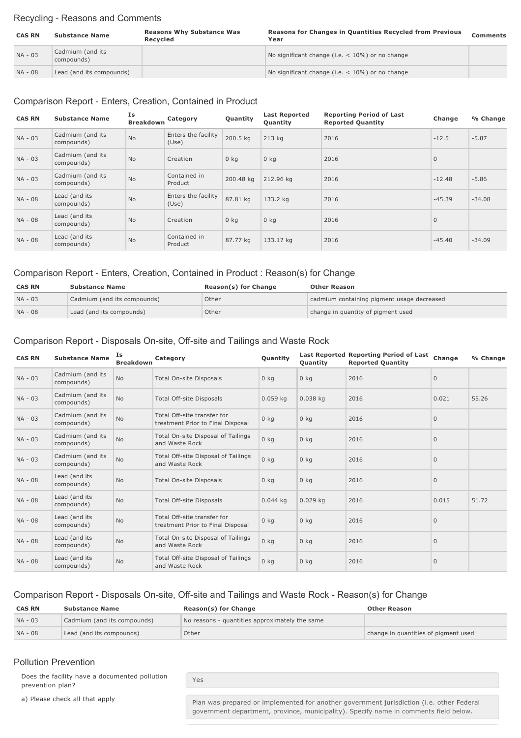#### Recycling - Reasons and Comments

| <b>CAS RN</b> | <b>Substance Name</b>          | <b>Reasons Why Substance Was</b><br>Recycled | Reasons for Changes in Quantities Recycled from Previous<br>Year | <b>Comments</b> |
|---------------|--------------------------------|----------------------------------------------|------------------------------------------------------------------|-----------------|
| NA - 03       | Cadmium (and its<br>compounds) |                                              | No significant change (i.e. $<$ 10%) or no change                |                 |
| NA - 08       | Lead (and its compounds)       |                                              | No significant change (i.e. $<$ 10%) or no change                |                 |

#### Comparison Report - Enters, Creation, Contained in Product

| <b>CAS RN</b> | <b>Substance Name</b>          | Is<br><b>Breakdown</b> | Category                     | Quantity  | <b>Last Reported</b><br>Quantity | <b>Reporting Period of Last</b><br><b>Reported Quantity</b> | Change       | % Change |
|---------------|--------------------------------|------------------------|------------------------------|-----------|----------------------------------|-------------------------------------------------------------|--------------|----------|
| $NA - 03$     | Cadmium (and its<br>compounds) | <b>No</b>              | Enters the facility<br>(Use) | 200.5 kg  | $213$ kg                         | 2016                                                        | $-12.5$      | $-5.87$  |
| $NA - 03$     | Cadmium (and its<br>compounds) | <b>No</b>              | Creation                     | $0$ kg    | 0 <sub>kq</sub>                  | 2016                                                        | $\mathbf{0}$ |          |
| $NA - 03$     | Cadmium (and its<br>compounds) | <b>No</b>              | Contained in<br>Product      | 200.48 kg | 212.96 kg                        | 2016                                                        | $-12.48$     | $-5.86$  |
| NA - 08       | Lead (and its<br>compounds)    | <b>No</b>              | Enters the facility<br>(Use) | 87.81 kg  | 133.2 kg                         | 2016                                                        | $-45.39$     | $-34.08$ |
| NA - 08       | Lead (and its<br>compounds)    | <b>No</b>              | Creation                     | $0$ kg    | 0 <sub>kq</sub>                  | 2016                                                        | $\mathbf{0}$ |          |
| NA - 08       | Lead (and its<br>compounds)    | <b>No</b>              | Contained in<br>Product      | 87.77 kg  | 133.17 kg                        | 2016                                                        | $-45.40$     | $-34.09$ |

### Comparison Report Enters, Creation, Contained in Product : Reason(s) for Change

| <b>CAS RN</b> | <b>Substance Name</b>       | Reason(s) for Change | <b>Other Reason</b>                        |
|---------------|-----------------------------|----------------------|--------------------------------------------|
| $NA - 03$     | Cadmium (and its compounds) | Other                | cadmium containing pigment usage decreased |
| NA - 08       | Lead (and its compounds)    | Other                | change in quantity of pigment used         |

### Comparison Report - Disposals On-site, Off-site and Tailings and Waste Rock

| <b>CAS RN</b> | <b>Substance Name</b>          | Is<br><b>Breakdown</b> | Category                                                         | Quantity        | <b>Ouantity</b> | Last Reported Reporting Period of Last<br><b>Reported Quantity</b> | Change         | % Change |
|---------------|--------------------------------|------------------------|------------------------------------------------------------------|-----------------|-----------------|--------------------------------------------------------------------|----------------|----------|
| NA - 03       | Cadmium (and its<br>compounds) | <b>No</b>              | <b>Total On-site Disposals</b>                                   | 0 <sub>kq</sub> | 0 <sub>kg</sub> | 2016                                                               | $\mathbf{0}$   |          |
| NA - 03       | Cadmium (and its<br>compounds) | <b>No</b>              | <b>Total Off-site Disposals</b>                                  | $0.059$ kg      | $0.038$ kg      | 2016                                                               | 0.021          | 55.26    |
| $NA - 03$     | Cadmium (and its<br>compounds) | No                     | Total Off-site transfer for<br>treatment Prior to Final Disposal | $0$ kg          | 0 <sub>kq</sub> | 2016                                                               | $\overline{0}$ |          |
| $NA - 03$     | Cadmium (and its<br>compounds) | <b>No</b>              | Total On-site Disposal of Tailings<br>and Waste Rock             | $0$ kg          | 0 <sub>kq</sub> | 2016                                                               | $\mathbf{0}$   |          |
| $NA - 03$     | Cadmium (and its<br>compounds) | No                     | Total Off-site Disposal of Tailings<br>and Waste Rock            | $0$ kg          | 0 <sub>kq</sub> | 2016                                                               | $\mathbf{0}$   |          |
| NA - 08       | Lead (and its<br>compounds)    | <b>No</b>              | <b>Total On-site Disposals</b>                                   | 0 <sub>kq</sub> | 0 <sub>kq</sub> | 2016                                                               | $\mathbf{0}$   |          |
| NA - 08       | Lead (and its<br>compounds)    | No                     | <b>Total Off-site Disposals</b>                                  | $0.044$ kg      | $0.029$ kg      | 2016                                                               | 0.015          | 51.72    |
| NA - 08       | Lead (and its<br>compounds)    | No                     | Total Off-site transfer for<br>treatment Prior to Final Disposal | $0$ kg          | 0 <sub>kq</sub> | 2016                                                               | $\mathbf 0$    |          |
| NA - 08       | Lead (and its<br>compounds)    | <b>No</b>              | Total On-site Disposal of Tailings<br>and Waste Rock             | $0$ kg          | 0 <sub>kq</sub> | 2016                                                               | $\Omega$       |          |
| NA - 08       | Lead (and its<br>compounds)    | No                     | Total Off-site Disposal of Tailings<br>and Waste Rock            | $0$ kg          | 0 <sub>kq</sub> | 2016                                                               | $\mathbf{0}$   |          |

# Comparison Report - Disposals On-site, Off-site and Tailings and Waste Rock - Reason(s) for Change

| <b>CAS RN</b> | <b>Substance Name</b>       | Reason(s) for Change                           | <b>Other Reason</b>                  |
|---------------|-----------------------------|------------------------------------------------|--------------------------------------|
| $NA - 03$     | Cadmium (and its compounds) | No reasons - quantities approximately the same |                                      |
| $NA - 08$     | Lead (and its compounds)    | Other                                          | change in quantities of pigment used |

#### Pollution Prevention

Does the facility have a documented pollution prevention plan?

a) Please check all that apply **Plan was prepared or implemented for another government jurisdiction (i.e. other Federal** government department, province, municipality). Specify name in comments field below.

Yes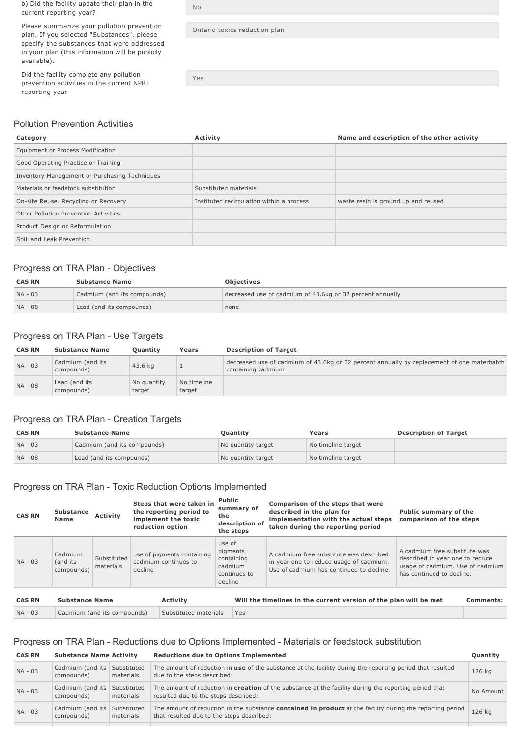b) Did the facility update their plan in the current reporting year?

Please summarize your pollution prevention plan. If you selected "Substances", please specify the substances that were addressed in your plan (this information will be publicly available).

Did the facility complete any pollution prevention activities in the current NPRI reporting year

| N٥                            |  |
|-------------------------------|--|
| Ontario toxics reduction plan |  |

Yes

#### Pollution Prevention Activities

# **Category Activity Activity Activity Activity Activity Activity Activity Activity Activity Activity Activity Activity Activity Activity Activity Activity Activity Activity Activity A** Equipment or Process Modification Good Operating Practice or Training Inventory Management or Purchasing Techniques Materials or feedstock substitution Substituted materials Onsite Reuse, Recycling or Recovery Instituted recirculation within a process waste resin is ground up and reused Other Pollution Prevention Activities Product Design or Reformulation Spill and Leak Prevention

### Progress on TRA Plan - Objectives

| <b>CAS RN</b> | <b>Substance Name</b>       | <b>Objectives</b>                                         |
|---------------|-----------------------------|-----------------------------------------------------------|
| $NA - 03$     | Cadmium (and its compounds) | decreased use of cadmium of 43.6kg or 32 percent annually |
| NA - 08       | Lead (and its compounds)    | none                                                      |

### Progress on TRA Plan - Use Targets

| <b>CAS RN</b> | <b>Substance Name</b>          | <b>Ouantity</b>       | Years                 | <b>Description of Target</b>                                                                                     |
|---------------|--------------------------------|-----------------------|-----------------------|------------------------------------------------------------------------------------------------------------------|
| NA - 03       | Cadmium (and its<br>compounds) | 43.6 kg               |                       | decreased use of cadmium of 43.6kg or 32 percent annually by replacement of one materbatch<br>containing cadmium |
| NA - 08       | Lead (and its<br>compounds)    | No quantity<br>target | No timeline<br>target |                                                                                                                  |

#### Progress on TRA Plan - Creation Targets

| <b>CAS RN</b> | <b>Substance Name</b>       | Ouantitv           | Years              | <b>Description of Target</b> |
|---------------|-----------------------------|--------------------|--------------------|------------------------------|
| $NA - 03$     | Cadmium (and its compounds) | No quantity target | No timeline target |                              |
| $NA - 08$     | Lead (and its compounds)    | No quantity target | No timeline target |                              |

#### Progress on TRA Plan - Toxic Reduction Options Implemented

| <b>CAS RN</b> | <b>Substance</b><br><b>Name</b>                      | <b>Activity</b>          |         | Steps that were taken in<br>the reporting period to<br>implement the toxic<br>reduction option | <b>Public</b><br>the                                   | summary of<br>description of<br>the steps | Comparison of the steps that were<br>described in the plan for<br>implementation with the actual steps<br>taken during the reporting period | <b>Public summary of the</b><br>comparison of the steps                                                                           |                  |
|---------------|------------------------------------------------------|--------------------------|---------|------------------------------------------------------------------------------------------------|--------------------------------------------------------|-------------------------------------------|---------------------------------------------------------------------------------------------------------------------------------------------|-----------------------------------------------------------------------------------------------------------------------------------|------------------|
| $NA - 03$     | Cadmium<br>(and its<br>compounds)                    | Substituted<br>materials | decline | use of pigments containing<br>cadmium continues to                                             | use of<br>pigments<br>containing<br>cadmium<br>decline | continues to                              | A cadmium free substitute was described<br>in year one to reduce usage of cadmium.<br>Use of cadmium has continued to decline.              | A cadmium free substitute was<br>described in year one to reduce<br>usage of cadmium. Use of cadmium<br>has continued to decline. |                  |
| <b>CAS RN</b> | <b>Substance Name</b>                                |                          |         | Activity                                                                                       |                                                        |                                           | Will the timelines in the current version of the plan will be met                                                                           |                                                                                                                                   | <b>Comments:</b> |
| $NA - 03$     | Cadmium (and its compounds)<br>Substituted materials |                          |         | Yes                                                                                            |                                                        |                                           |                                                                                                                                             |                                                                                                                                   |                  |

### Progress on TRA Plan - Reductions due to Options Implemented - Materials or feedstock substitution

| <b>CAS RN</b> | <b>Substance Name Activity</b>                             |  | <b>Reductions due to Options Implemented</b><br>Quantity                                                                                                      |           |  |
|---------------|------------------------------------------------------------|--|---------------------------------------------------------------------------------------------------------------------------------------------------------------|-----------|--|
| NA - 03       | Cadmium (and its Substituted<br>materials<br>compounds)    |  | The amount of reduction in use of the substance at the facility during the reporting period that resulted<br>due to the steps described:                      |           |  |
| $NA - 03$     | Cadmium (and its<br>Substituted<br>materials<br>compounds) |  | The amount of reduction in <b>creation</b> of the substance at the facility during the reporting period that<br>resulted due to the steps described:          | No Amount |  |
| NA - 03       | Cadmium (and its<br>Substituted<br>compounds)<br>materials |  | The amount of reduction in the substance <b>contained in product</b> at the facility during the reporting period<br>that resulted due to the steps described: | 126 kg    |  |
|               |                                                            |  |                                                                                                                                                               |           |  |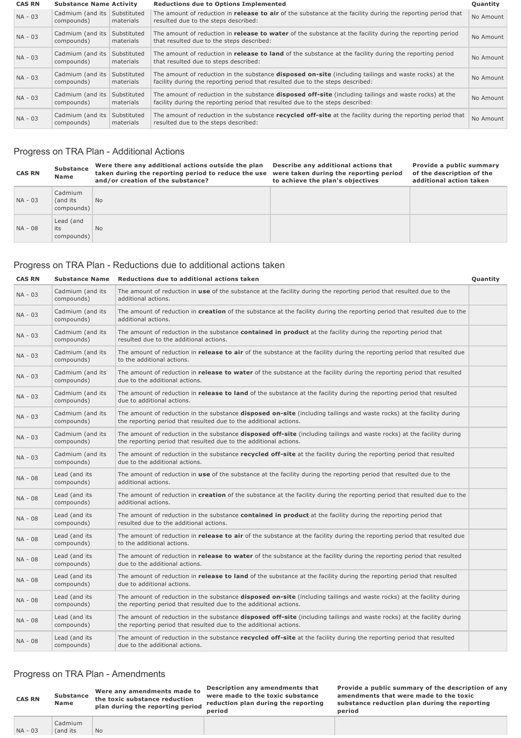| <b>CAS RN</b> | <b>Substance Name Activity</b> |                          | <b>Reductions due to Options Implemented</b>                                                                                                                                                    |           |  |
|---------------|--------------------------------|--------------------------|-------------------------------------------------------------------------------------------------------------------------------------------------------------------------------------------------|-----------|--|
| $NA - 03$     | Cadmium (and its<br>compounds) | Substituted<br>materials | The amount of reduction in <b>release to air</b> of the substance at the facility during the reporting period that<br>resulted due to the steps described:                                      | No Amount |  |
| $NA - 03$     | Cadmium (and its<br>compounds) | Substituted<br>materials | The amount of reduction in <b>release to water</b> of the substance at the facility during the reporting period<br>that resulted due to the steps described:                                    | No Amount |  |
| $NA - 03$     | Cadmium (and its<br>compounds) | Substituted<br>materials | The amount of reduction in <b>release to land</b> of the substance at the facility during the reporting period<br>that resulted due to steps described:                                         | No Amount |  |
| NA - 03       | Cadmium (and its<br>compounds) | Substituted<br>materials | The amount of reduction in the substance <b>disposed on-site</b> (including tailings and waste rocks) at the<br>facility during the reporting period that resulted due to the steps described:  | No Amount |  |
| $NA - 03$     | Cadmium (and its<br>compounds) | Substituted<br>materials | The amount of reduction in the substance <b>disposed off-site</b> (including tailings and waste rocks) at the<br>facility during the reporting period that resulted due to the steps described: | No Amount |  |
| NA - 03       | Cadmium (and its<br>compounds) | Substituted<br>materials | The amount of reduction in the substance recycled off-site at the facility during the reporting period that<br>resulted due to the steps described:                                             | No Amount |  |

# Progress on TRA Plan - Additional Actions

| <b>CAS RN</b> | <b>Substance</b><br>Name          | Were there any additional actions outside the plan<br>taken during the reporting period to reduce the use<br>and/or creation of the substance? | Describe any additional actions that<br>were taken during the reporting period<br>to achieve the plan's objectives | Provide a public summary<br>of the description of the<br>additional action taken |
|---------------|-----------------------------------|------------------------------------------------------------------------------------------------------------------------------------------------|--------------------------------------------------------------------------------------------------------------------|----------------------------------------------------------------------------------|
| NA - 03       | Cadmium<br>(and its<br>compounds) | <b>No</b>                                                                                                                                      |                                                                                                                    |                                                                                  |
| NA - 08       | Lead (and<br>its<br>compounds)    | <b>No</b>                                                                                                                                      |                                                                                                                    |                                                                                  |

### Progress on TRA Plan - Reductions due to additional actions taken

| <b>CAS RN</b> | <b>Substance Name</b>          | Reductions due to additional actions taken                                                                                                                                                         | Quantity |
|---------------|--------------------------------|----------------------------------------------------------------------------------------------------------------------------------------------------------------------------------------------------|----------|
| NA - 03       | Cadmium (and its<br>compounds) | The amount of reduction in use of the substance at the facility during the reporting period that resulted due to the<br>additional actions.                                                        |          |
| NA - 03       | Cadmium (and its<br>compounds) | The amount of reduction in creation of the substance at the facility during the reporting period that resulted due to the<br>additional actions.                                                   |          |
| NA - 03       | Cadmium (and its<br>compounds) | The amount of reduction in the substance contained in product at the facility during the reporting period that<br>resulted due to the additional actions.                                          |          |
| NA - 03       | Cadmium (and its<br>compounds) | The amount of reduction in release to air of the substance at the facility during the reporting period that resulted due<br>to the additional actions.                                             |          |
| NA - 03       | Cadmium (and its<br>compounds) | The amount of reduction in release to water of the substance at the facility during the reporting period that resulted<br>due to the additional actions.                                           |          |
| NA - 03       | Cadmium (and its<br>compounds) | The amount of reduction in <b>release to land</b> of the substance at the facility during the reporting period that resulted<br>due to additional actions.                                         |          |
| NA - 03       | Cadmium (and its<br>compounds) | The amount of reduction in the substance <b>disposed on-site</b> (including tailings and waste rocks) at the facility during<br>the reporting period that resulted due to the additional actions.  |          |
| NA - 03       | Cadmium (and its<br>compounds) | The amount of reduction in the substance <b>disposed off-site</b> (including tailings and waste rocks) at the facility during<br>the reporting period that resulted due to the additional actions. |          |
| NA - 03       | Cadmium (and its<br>compounds) | The amount of reduction in the substance recycled off-site at the facility during the reporting period that resulted<br>due to the additional actions.                                             |          |
| NA - 08       | Lead (and its<br>compounds)    | The amount of reduction in use of the substance at the facility during the reporting period that resulted due to the<br>additional actions.                                                        |          |
| NA - 08       | Lead (and its<br>compounds)    | The amount of reduction in creation of the substance at the facility during the reporting period that resulted due to the<br>additional actions.                                                   |          |
| NA - 08       | Lead (and its<br>compounds)    | The amount of reduction in the substance contained in product at the facility during the reporting period that<br>resulted due to the additional actions.                                          |          |
| NA - 08       | Lead (and its<br>compounds)    | The amount of reduction in release to air of the substance at the facility during the reporting period that resulted due<br>to the additional actions.                                             |          |
| NA - 08       | Lead (and its<br>compounds)    | The amount of reduction in <b>release to water</b> of the substance at the facility during the reporting period that resulted<br>due to the additional actions.                                    |          |
| NA - 08       | Lead (and its<br>compounds)    | The amount of reduction in release to land of the substance at the facility during the reporting period that resulted<br>due to additional actions.                                                |          |
| NA - 08       | Lead (and its<br>compounds)    | The amount of reduction in the substance <b>disposed on-site</b> (including tailings and waste rocks) at the facility during<br>the reporting period that resulted due to the additional actions.  |          |
| NA - 08       | Lead (and its<br>compounds)    | The amount of reduction in the substance <b>disposed off-site</b> (including tailings and waste rocks) at the facility during<br>the reporting period that resulted due to the additional actions. |          |
| NA - 08       | Lead (and its<br>compounds)    | The amount of reduction in the substance recycled off-site at the facility during the reporting period that resulted<br>due to the additional actions.                                             |          |

#### Progress on TRA Plan - Amendments

**Name**

Cadmium (and its No

 $NA - 03$ 

**Substance Were any amendments made to the toxic substance reduction plan during the reporting period**

**Description any amendments that were made to the toxic substance reduction plan during the reporting period**

**Provide a public summary of the description of any amendments that were made to the toxic substance reduction plan during the reporting period**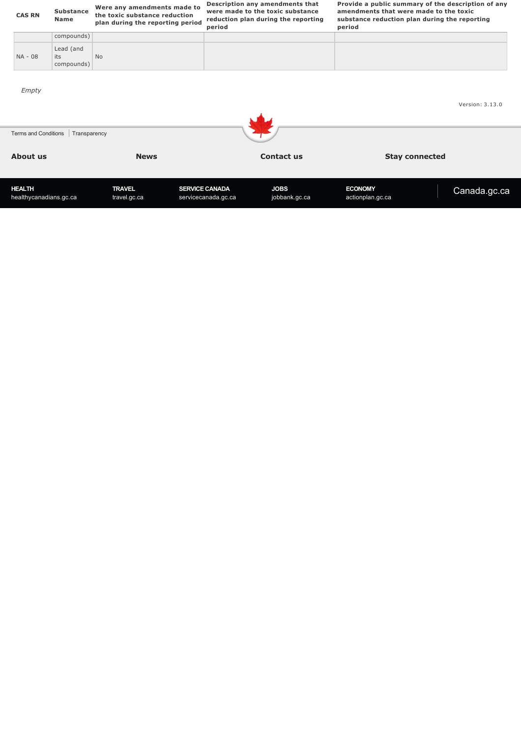| <b>CAS RN</b>                           | <b>Substance</b><br><b>Name</b> | Were any amendments made to<br>the toxic substance reduction<br>plan during the reporting period | period                                       | Description any amendments that<br>were made to the toxic substance<br>reduction plan during the reporting | period                             | Provide a public summary of the description of any<br>amendments that were made to the toxic<br>substance reduction plan during the reporting |
|-----------------------------------------|---------------------------------|--------------------------------------------------------------------------------------------------|----------------------------------------------|------------------------------------------------------------------------------------------------------------|------------------------------------|-----------------------------------------------------------------------------------------------------------------------------------------------|
|                                         | compounds)                      |                                                                                                  |                                              |                                                                                                            |                                    |                                                                                                                                               |
| NA - 08                                 | Lead (and<br>its<br>compounds)  | <b>No</b>                                                                                        |                                              |                                                                                                            |                                    |                                                                                                                                               |
| Empty                                   |                                 |                                                                                                  |                                              |                                                                                                            |                                    | Version: 3.13.0                                                                                                                               |
| Terms and Conditions                    | Transparency                    |                                                                                                  |                                              |                                                                                                            |                                    |                                                                                                                                               |
| About us                                |                                 | <b>News</b>                                                                                      |                                              | <b>Contact us</b>                                                                                          |                                    | <b>Stay connected</b>                                                                                                                         |
| <b>HEALTH</b><br>healthycanadians.gc.ca |                                 | <b>TRAVEL</b><br>travel.gc.ca                                                                    | <b>SERVICE CANADA</b><br>servicecanada.gc.ca | <b>JOBS</b><br>jobbank.gc.ca                                                                               | <b>ECONOMY</b><br>actionplan.gc.ca | Canada.gc.ca                                                                                                                                  |